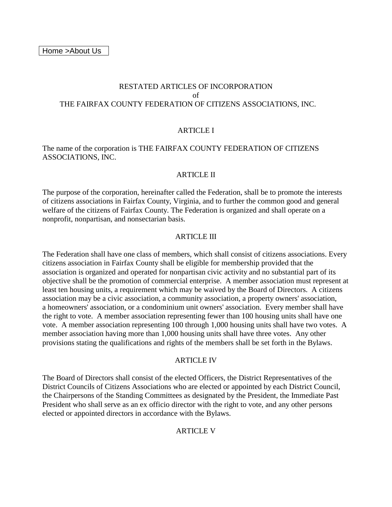# RESTATED ARTICLES OF INCORPORATION of THE FAIRFAX COUNTY FEDERATION OF CITIZENS ASSOCIATIONS, INC.

### ARTICLE I

### The name of the corporation is THE FAIRFAX COUNTY FEDERATION OF CITIZENS ASSOCIATIONS, INC.

#### ARTICLE II

The purpose of the corporation, hereinafter called the Federation, shall be to promote the interests of citizens associations in Fairfax County, Virginia, and to further the common good and general welfare of the citizens of Fairfax County. The Federation is organized and shall operate on a nonprofit, nonpartisan, and nonsectarian basis.

#### ARTICLE III

The Federation shall have one class of members, which shall consist of citizens associations. Every citizens association in Fairfax County shall be eligible for membership provided that the association is organized and operated for nonpartisan civic activity and no substantial part of its objective shall be the promotion of commercial enterprise. A member association must represent at least ten housing units, a requirement which may be waived by the Board of Directors. A citizens association may be a civic association, a community association, a property owners' association, a homeowners' association, or a condominium unit owners' association. Every member shall have the right to vote. A member association representing fewer than 100 housing units shall have one vote. A member association representing 100 through 1,000 housing units shall have two votes. A member association having more than 1,000 housing units shall have three votes. Any other provisions stating the qualifications and rights of the members shall be set forth in the Bylaws.

#### ARTICLE IV

The Board of Directors shall consist of the elected Officers, the District Representatives of the District Councils of Citizens Associations who are elected or appointed by each District Council, the Chairpersons of the Standing Committees as designated by the President, the Immediate Past President who shall serve as an ex officio director with the right to vote, and any other persons elected or appointed directors in accordance with the Bylaws.

#### ARTICLE V